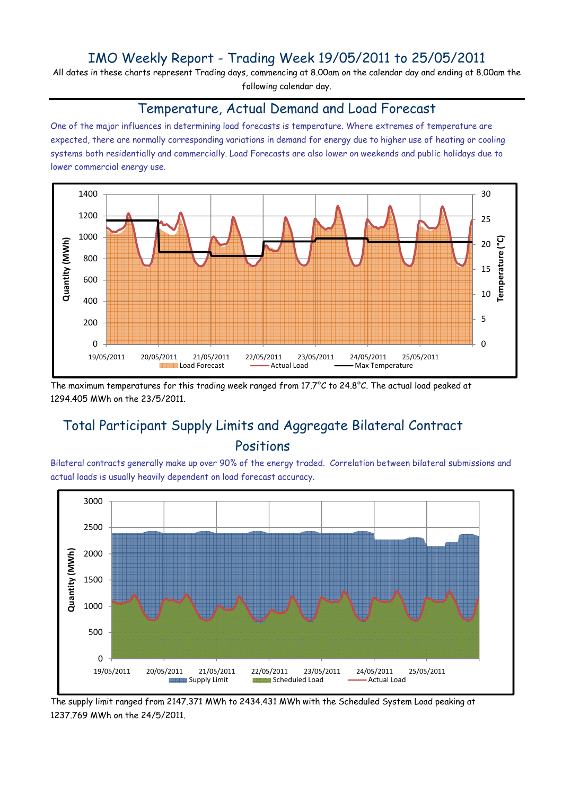## IMO Weekly Report - Trading Week 19/05/2011 to 25/05/2011

All dates in these charts represent Trading days, commencing at 8.00am on the calendar day and ending at 8.00am the following calendar day.

#### Temperature, Actual Demand and Load Forecast

One of the major influences in determining load forecasts is temperature. Where extremes of temperature are expected, there are normally corresponding variations in demand for energy due to higher use of heating or cooling systems both residentially and commercially. Load Forecasts are also lower on weekends and public holidays due to lower commercial energy use.



The maximum temperatures for this trading week ranged from 17.7°C to 24.8°C. The actual load peaked at 1294.405 MWh on the 23/5/2011.

# Total Participant Supply Limits and Aggregate Bilateral Contract Positions

Bilateral contracts generally make up over 90% of the energy traded. Correlation between bilateral submissions and actual loads is usually heavily dependent on load forecast accuracy.



The supply limit ranged from 2147.371 MWh to 2434.431 MWh with the Scheduled System Load peaking at 1237.769 MWh on the 24/5/2011.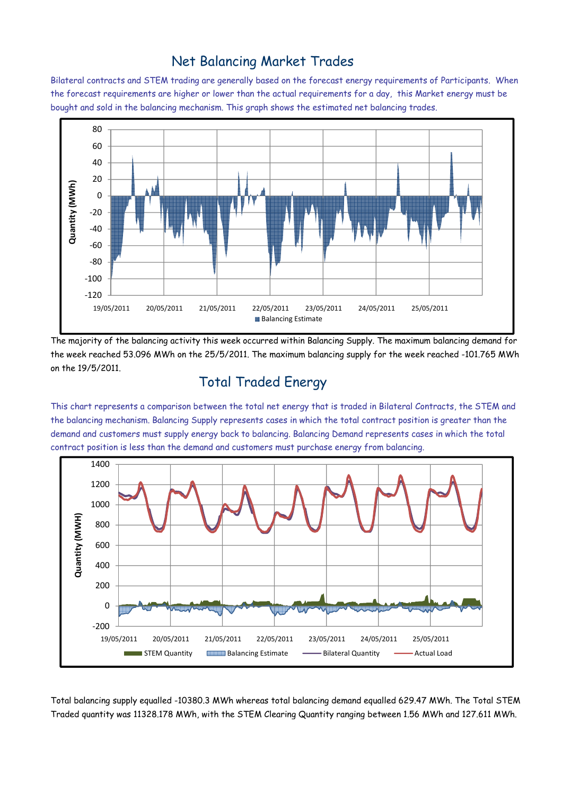### Net Balancing Market Trades

Bilateral contracts and STEM trading are generally based on the forecast energy requirements of Participants. When the forecast requirements are higher or lower than the actual requirements for a day, this Market energy must be bought and sold in the balancing mechanism. This graph shows the estimated net balancing trades.



The majority of the balancing activity this week occurred within Balancing Supply. The maximum balancing demand for the week reached 53.096 MWh on the 25/5/2011. The maximum balancing supply for the week reached -101.765 MWh on the 19/5/2011.

# Total Traded Energy

This chart represents a comparison between the total net energy that is traded in Bilateral Contracts, the STEM and the balancing mechanism. Balancing Supply represents cases in which the total contract position is greater than the demand and customers must supply energy back to balancing. Balancing Demand represents cases in which the total contract position is less than the demand and customers must purchase energy from balancing.



Total balancing supply equalled -10380.3 MWh whereas total balancing demand equalled 629.47 MWh. The Total STEM Traded quantity was 11328.178 MWh, with the STEM Clearing Quantity ranging between 1.56 MWh and 127.611 MWh.